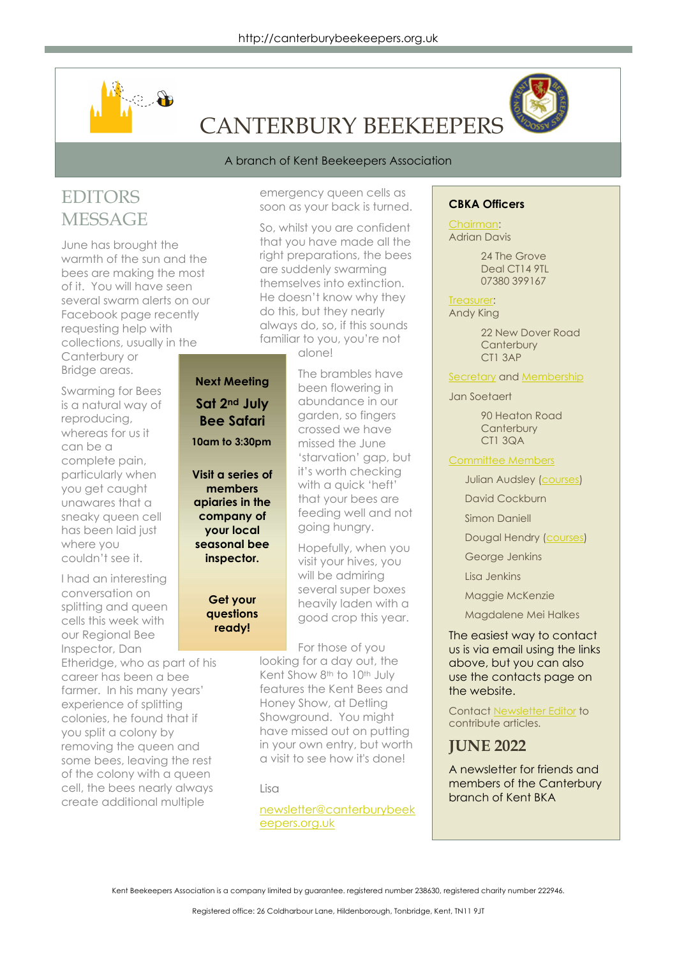

# CANTERBURY BEEKEEPERS

#### A branch of Kent Beekeepers Association

## EDITORS **MESSAGE**

June has brought the warmth of the sun and the bees are making the most of it. You will have seen several swarm alerts on our Facebook page recently requesting help with collections, usually in the Canterbury or Bridge areas.

Swarming for Bees is a natural way of reproducing, whereas for us it can be a complete pain, particularly when you get caught unawares that a sneaky queen cell has been laid just where you couldn't see it.

I had an interesting conversation on splitting and queen cells this week with our Regional Bee Inspector, Dan

Etheridge, who as part of his career has been a bee farmer. In his many years' experience of splitting colonies, he found that if you split a colony by removing the queen and some bees, leaving the rest of the colony with a queen cell, the bees nearly always create additional multiple

emergency queen cells as soon as your back is turned.

So, whilst you are confident that you have made all the right preparations, the bees are suddenly swarming themselves into extinction. He doesn't know why they do this, but they nearly always do, so, if this sounds familiar to you, you're not

alone!

Next Meeting Sat 2nd July Bee Safari 10am to 3:30pm

Visit a series of members apiaries in the company of your local seasonal bee inspector.

#### Get your questions ready!

The brambles have been flowering in abundance in our garden, so fingers crossed we have missed the June 'starvation' gap, but it's worth checking with a quick 'heft' that your bees are feeding well and not going hungry.

Hopefully, when you visit your hives, you will be admiring several super boxes heavily laden with a good crop this year.

For those of you looking for a day out, the Kent Show 8th to 10th July features the Kent Bees and Honey Show, at Detling Showground. You might have missed out on putting in your own entry, but worth a visit to see how it's done!

Lisa

newsletter@canterburybeek eepers.org.uk

#### CBKA Officers

Chairman: Adrian Davis

> 24 The Grove Deal CT14 9TL 07380 399167

Treasurer: Andy King

> 22 New Dover Road **Canterbury** CT1 3AP

Secretary and Membership

Jan Soetaert

90 Heaton Road **Canterbury** CT1 3QA

Committee Members

Julian Audsley (courses)

David Cockburn

Simon Daniell

Dougal Hendry (courses)

George Jenkins

Lisa Jenkins

Maggie McKenzie

Magdalene Mei Halkes

The easiest way to contact us is via email using the links above, but you can also use the contacts page on the website.

Contact Newsletter Editor to contribute articles.

### JUNE 2022

A newsletter for friends and members of the Canterbury branch of Kent BKA

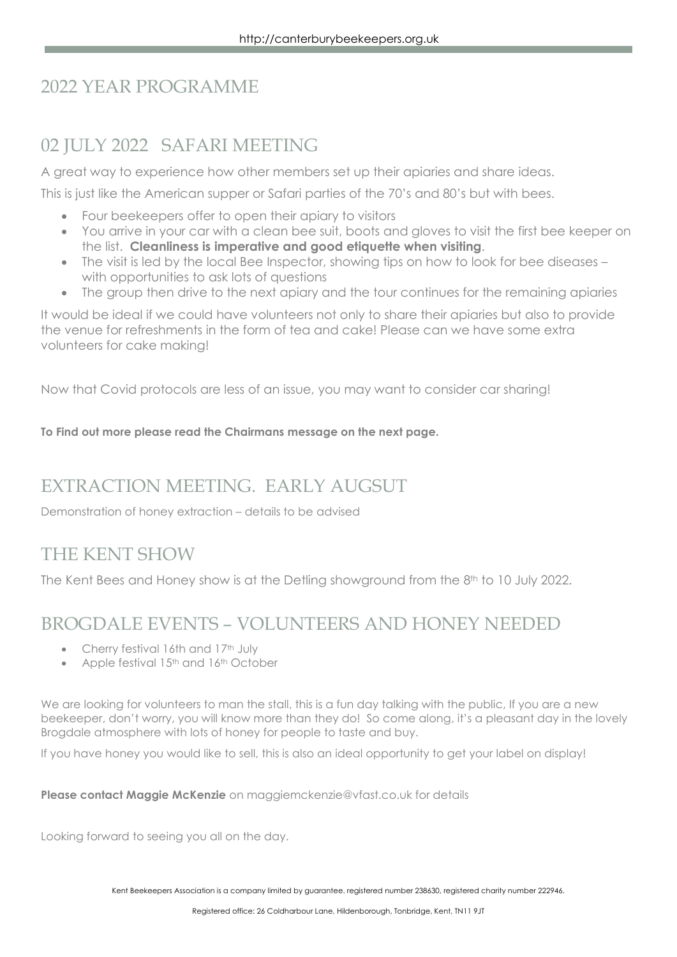## 2022 YEAR PROGRAMME

## 02 JULY 2022 SAFARI MEETING

A great way to experience how other members set up their apiaries and share ideas.

This is just like the American supper or Safari parties of the 70's and 80's but with bees.

- Four beekeepers offer to open their apiary to visitors
- You arrive in your car with a clean bee suit, boots and gloves to visit the first bee keeper on the list. Cleanliness is imperative and good etiquette when visiting.
- The visit is led by the local Bee Inspector, showing tips on how to look for bee diseases with opportunities to ask lots of questions
- The group then drive to the next apiary and the tour continues for the remaining apiaries

It would be ideal if we could have volunteers not only to share their apiaries but also to provide the venue for refreshments in the form of tea and cake! Please can we have some extra volunteers for cake making!

Now that Covid protocols are less of an issue, you may want to consider car sharing!

To Find out more please read the Chairmans message on the next page.

### EXTRACTION MEETING. EARLY AUGSUT

Demonstration of honey extraction – details to be advised

### THE KENT SHOW

The Kent Bees and Honey show is at the Detling showground from the 8<sup>th</sup> to 10 July 2022.

### BROGDALE EVENTS – VOLUNTEERS AND HONEY NEEDED

- Cherry festival 16th and 17th July
- Apple festival 15<sup>th</sup> and 16<sup>th</sup> October

We are looking for volunteers to man the stall, this is a fun day talking with the public, If you are a new beekeeper, don't worry, you will know more than they do! So come along, it's a pleasant day in the lovely Brogdale atmosphere with lots of honey for people to taste and buy.

If you have honey you would like to sell, this is also an ideal opportunity to get your label on display!

Please contact Maggie McKenzie on maggiemckenzie@vfast.co.uk for details

Looking forward to seeing you all on the day.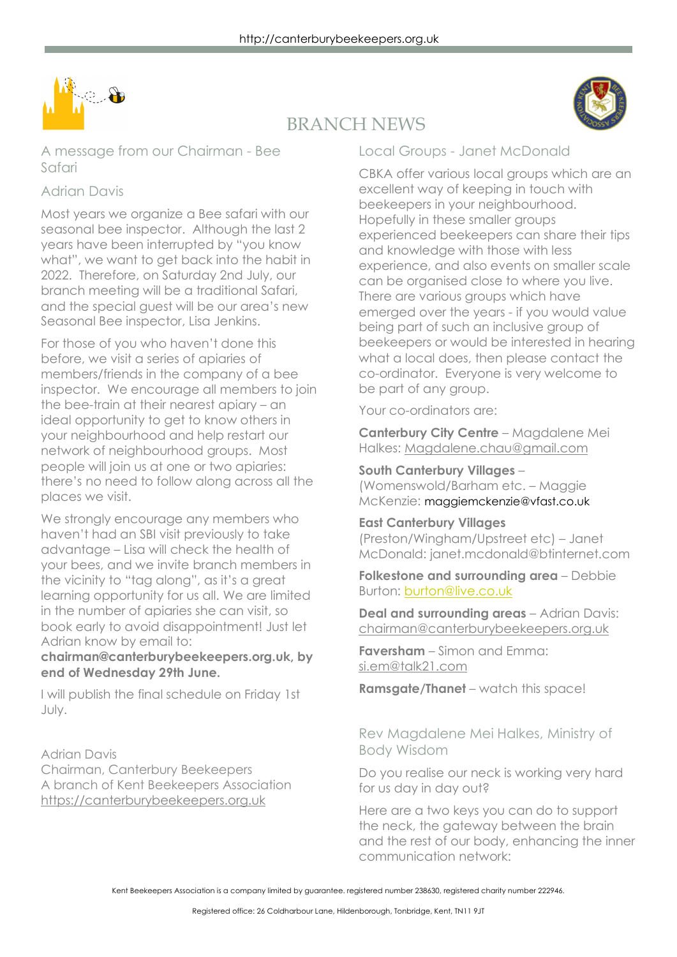



## BRANCH NEWS

A message from our Chairman - Bee Safari

### Adrian Davis

Most years we organize a Bee safari with our seasonal bee inspector. Although the last 2 years have been interrupted by "you know what", we want to get back into the habit in 2022. Therefore, on Saturday 2nd July, our branch meeting will be a traditional Safari, and the special guest will be our area's new Seasonal Bee inspector, Lisa Jenkins.

For those of you who haven't done this before, we visit a series of apiaries of members/friends in the company of a bee inspector. We encourage all members to join the bee-train at their nearest apiary – an ideal opportunity to get to know others in your neighbourhood and help restart our network of neighbourhood groups. Most people will join us at one or two apiaries: there's no need to follow along across all the places we visit.

We strongly encourage any members who haven't had an SBI visit previously to take advantage – Lisa will check the health of your bees, and we invite branch members in the vicinity to "tag along", as it's a great learning opportunity for us all. We are limited in the number of apiaries she can visit, so book early to avoid disappointment! Just let Adrian know by email to:

### chairman@canterburybeekeepers.org.uk, by end of Wednesday 29th June.

I will publish the final schedule on Friday 1st July.

Adrian Davis

Chairman, Canterbury Beekeepers A branch of Kent Beekeepers Association https://canterburybeekeepers.org.uk

### Local Groups - Janet McDonald

CBKA offer various local groups which are an excellent way of keeping in touch with beekeepers in your neighbourhood. Hopefully in these smaller groups experienced beekeepers can share their tips and knowledge with those with less experience, and also events on smaller scale can be organised close to where you live. There are various aroups which have emerged over the years - if you would value being part of such an inclusive group of beekeepers or would be interested in hearing what a local does, then please contact the co-ordinator. Everyone is very welcome to be part of any group.

Your co-ordinators are:

Canterbury City Centre – Magdalene Mei Halkes: Magdalene.chau@gmail.com

#### South Canterbury Villages – (Womenswold/Barham etc. – Maggie

McKenzie: maggiemckenzie@vfast.co.uk

### East Canterbury Villages

(Preston/Wingham/Upstreet etc) – Janet McDonald: janet.mcdonald@btinternet.com

Folkestone and surrounding area - Debbie Burton: burton@live.co.uk

**Deal and surrounding areas - Adrian Davis:** chairman@canterburybeekeepers.org.uk

Faversham – Simon and Emma: si.em@talk21.com

Ramsgate/Thanet – watch this space!

### Rev Magdalene Mei Halkes, Ministry of Body Wisdom

Do you realise our neck is working very hard for us day in day out?

Here are a two keys you can do to support the neck, the gateway between the brain and the rest of our body, enhancing the inner communication network: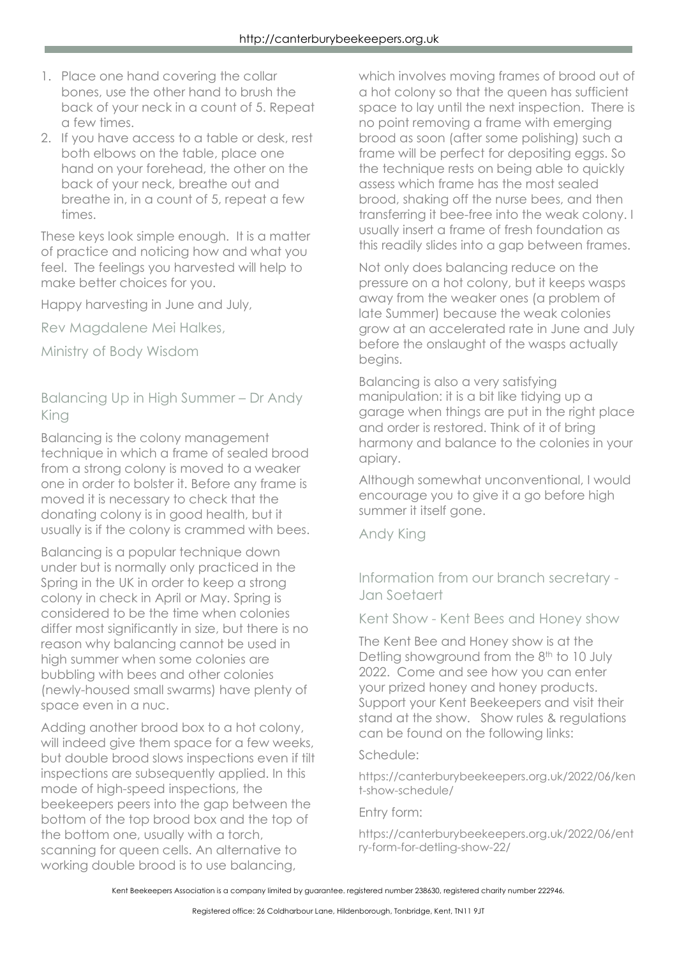- 1. Place one hand covering the collar bones, use the other hand to brush the back of your neck in a count of 5. Repeat a few times.
- 2. If you have access to a table or desk, rest both elbows on the table, place one hand on your forehead, the other on the back of your neck, breathe out and breathe in, in a count of 5, repeat a few times.

These keys look simple enough. It is a matter of practice and noticing how and what you feel. The feelings you harvested will help to make better choices for you.

Happy harvesting in June and July,

Rev Magdalene Mei Halkes,

Ministry of Body Wisdom

Balancing Up in High Summer – Dr Andy King

Balancing is the colony management technique in which a frame of sealed brood from a strong colony is moved to a weaker one in order to bolster it. Before any frame is moved it is necessary to check that the donating colony is in good health, but it usually is if the colony is crammed with bees.

Balancing is a popular technique down under but is normally only practiced in the Spring in the UK in order to keep a strong colony in check in April or May. Spring is considered to be the time when colonies differ most significantly in size, but there is no reason why balancing cannot be used in high summer when some colonies are bubbling with bees and other colonies (newly-housed small swarms) have plenty of space even in a nuc.

Adding another brood box to a hot colony, will indeed give them space for a few weeks, but double brood slows inspections even if tilt inspections are subsequently applied. In this mode of high-speed inspections, the beekeepers peers into the gap between the bottom of the top brood box and the top of the bottom one, usually with a torch, scanning for queen cells. An alternative to working double brood is to use balancing,

which involves moving frames of brood out of a hot colony so that the queen has sufficient space to lay until the next inspection. There is no point removing a frame with emerging brood as soon (after some polishing) such a frame will be perfect for depositing eggs. So the technique rests on being able to quickly assess which frame has the most sealed brood, shaking off the nurse bees, and then transferring it bee-free into the weak colony. I usually insert a frame of fresh foundation as this readily slides into a gap between frames.

Not only does balancing reduce on the pressure on a hot colony, but it keeps wasps away from the weaker ones (a problem of late Summer) because the weak colonies grow at an accelerated rate in June and July before the onslaught of the wasps actually begins.

Balancing is also a very satisfying manipulation: it is a bit like tidying up a garage when things are put in the right place and order is restored. Think of it of bring harmony and balance to the colonies in your apiary.

Although somewhat unconventional, I would encourage you to give it a go before high summer it itself gone.

Andy King

Information from our branch secretary - Jan Soetaert

Kent Show - Kent Bees and Honey show

The Kent Bee and Honey show is at the Detling showground from the 8<sup>th</sup> to 10 July 2022. Come and see how you can enter your prized honey and honey products. Support your Kent Beekeepers and visit their stand at the show. Show rules & regulations can be found on the following links:

#### Schedule:

https://canterburybeekeepers.org.uk/2022/06/ken t-show-schedule/

Entry form:

https://canterburybeekeepers.org.uk/2022/06/ent ry-form-for-detling-show-22/